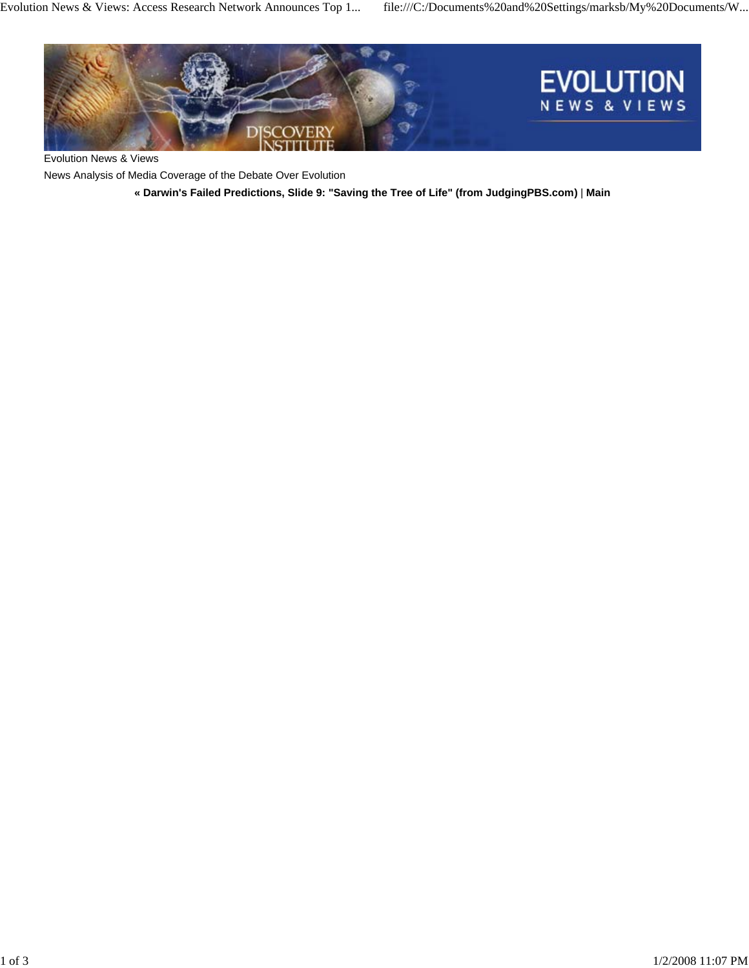

Evolution News & Views

News Analysis of Media Coverage of the Debate Over Evolution

**« Darwin's Failed Predictions, Slide 9: "Saving the Tree of Life" (from JudgingPBS.com)** | **Main**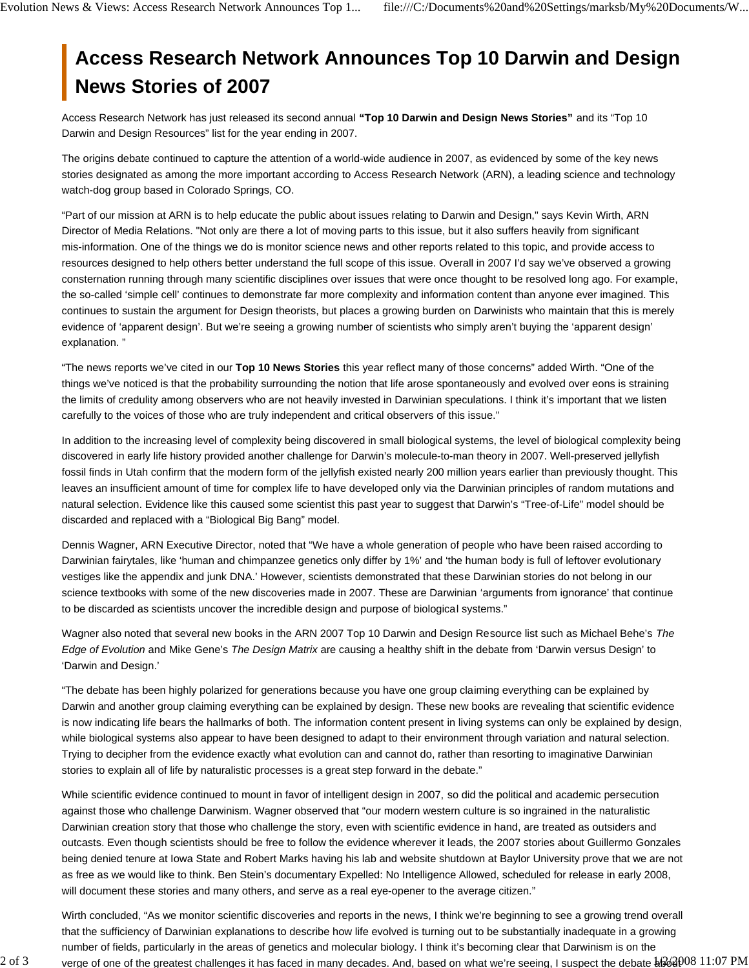## **Access Research Network Announces Top 10 Darwin and Design News Stories of 2007**

Access Research Network has just released its second annual **"Top 10 Darwin and Design News Stories"** and its "Top 10 Darwin and Design Resources" list for the year ending in 2007.

The origins debate continued to capture the attention of a world-wide audience in 2007, as evidenced by some of the key news stories designated as among the more important according to Access Research Network (ARN), a leading science and technology watch-dog group based in Colorado Springs, CO.

"Part of our mission at ARN is to help educate the public about issues relating to Darwin and Design," says Kevin Wirth, ARN Director of Media Relations. "Not only are there a lot of moving parts to this issue, but it also suffers heavily from significant mis-information. One of the things we do is monitor science news and other reports related to this topic, and provide access to resources designed to help others better understand the full scope of this issue. Overall in 2007 I'd say we've observed a growing consternation running through many scientific disciplines over issues that were once thought to be resolved long ago. For example, the so-called 'simple cell' continues to demonstrate far more complexity and information content than anyone ever imagined. This continues to sustain the argument for Design theorists, but places a growing burden on Darwinists who maintain that this is merely evidence of 'apparent design'. But we're seeing a growing number of scientists who simply aren't buying the 'apparent design' explanation. "

"The news reports we've cited in our **Top 10 News Stories** this year reflect many of those concerns" added Wirth. "One of the things we've noticed is that the probability surrounding the notion that life arose spontaneously and evolved over eons is straining the limits of credulity among observers who are not heavily invested in Darwinian speculations. I think it's important that we listen carefully to the voices of those who are truly independent and critical observers of this issue."

In addition to the increasing level of complexity being discovered in small biological systems, the level of biological complexity being discovered in early life history provided another challenge for Darwin's molecule-to-man theory in 2007. Well-preserved jellyfish fossil finds in Utah confirm that the modern form of the jellyfish existed nearly 200 million years earlier than previously thought. This leaves an insufficient amount of time for complex life to have developed only via the Darwinian principles of random mutations and natural selection. Evidence like this caused some scientist this past year to suggest that Darwin's "Tree-of-Life" model should be discarded and replaced with a "Biological Big Bang" model.

Dennis Wagner, ARN Executive Director, noted that "We have a whole generation of people who have been raised according to Darwinian fairytales, like 'human and chimpanzee genetics only differ by 1%' and 'the human body is full of leftover evolutionary vestiges like the appendix and junk DNA.' However, scientists demonstrated that these Darwinian stories do not belong in our science textbooks with some of the new discoveries made in 2007. These are Darwinian 'arguments from ignorance' that continue to be discarded as scientists uncover the incredible design and purpose of biological systems."

Wagner also noted that several new books in the ARN 2007 Top 10 Darwin and Design Resource list such as Michael Behe's *The Edge of Evolution* and Mike Gene's *The Design Matrix* are causing a healthy shift in the debate from 'Darwin versus Design' to 'Darwin and Design.'

"The debate has been highly polarized for generations because you have one group claiming everything can be explained by Darwin and another group claiming everything can be explained by design. These new books are revealing that scientific evidence is now indicating life bears the hallmarks of both. The information content present in living systems can only be explained by design, while biological systems also appear to have been designed to adapt to their environment through variation and natural selection. Trying to decipher from the evidence exactly what evolution can and cannot do, rather than resorting to imaginative Darwinian stories to explain all of life by naturalistic processes is a great step forward in the debate."

While scientific evidence continued to mount in favor of intelligent design in 2007, so did the political and academic persecution against those who challenge Darwinism. Wagner observed that "our modern western culture is so ingrained in the naturalistic Darwinian creation story that those who challenge the story, even with scientific evidence in hand, are treated as outsiders and outcasts. Even though scientists should be free to follow the evidence wherever it leads, the 2007 stories about Guillermo Gonzales being denied tenure at Iowa State and Robert Marks having his lab and website shutdown at Baylor University prove that we are not as free as we would like to think. Ben Stein's documentary Expelled: No Intelligence Allowed, scheduled for release in early 2008, will document these stories and many others, and serve as a real eye-opener to the average citizen."

2 of 3 verge of one of the greatest challenges it has faced in many decades. And, based on what we're seeing, I suspect the debate  $\frac{1}{2}$ 608 11:07 PM Wirth concluded, "As we monitor scientific discoveries and reports in the news, I think we're beginning to see a growing trend overall that the sufficiency of Darwinian explanations to describe how life evolved is turning out to be substantially inadequate in a growing number of fields, particularly in the areas of genetics and molecular biology. I think it's becoming clear that Darwinism is on the